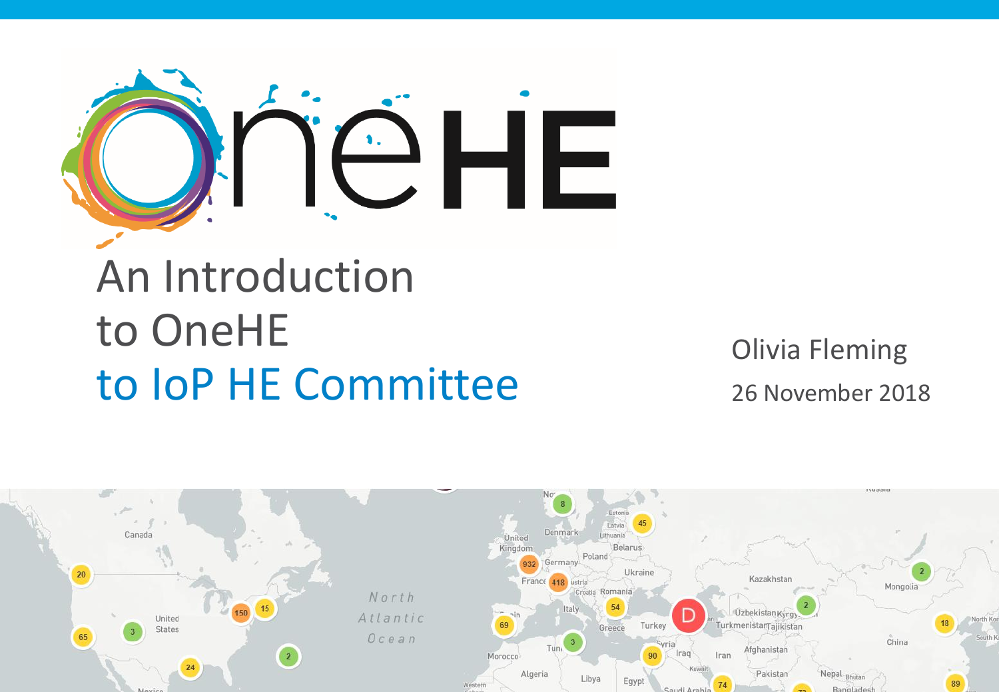

### An Introduction to OneHE to IoP HE Committee

Olivia Fleming 26 November 2018

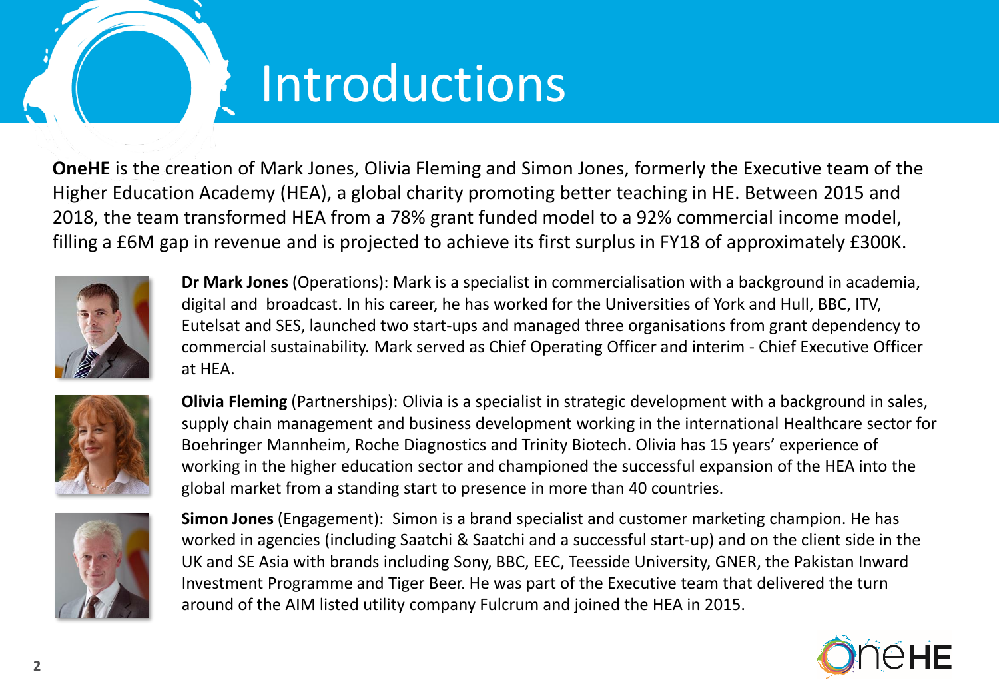## Introductions

**OneHE** is the creation of Mark Jones, Olivia Fleming and Simon Jones, formerly the Executive team of the Higher Education Academy (HEA), a global charity promoting better teaching in HE. Between 2015 and 2018, the team transformed HEA from a 78% grant funded model to a 92% commercial income model, filling a £6M gap in revenue and is projected to achieve its first surplus in FY18 of approximately £300K.



**Dr Mark Jones** (Operations): Mark is a specialist in commercialisation with a background in academia, digital and broadcast. In his career, he has worked for the Universities of York and Hull, BBC, ITV, Eutelsat and SES, launched two start-ups and managed three organisations from grant dependency to commercial sustainability. Mark served as Chief Operating Officer and interim - Chief Executive Officer at HEA.



**Olivia Fleming** (Partnerships): Olivia is a specialist in strategic development with a background in sales, supply chain management and business development working in the international Healthcare sector for Boehringer Mannheim, Roche Diagnostics and Trinity Biotech. Olivia has 15 years' experience of working in the higher education sector and championed the successful expansion of the HEA into the global market from a standing start to presence in more than 40 countries.



**Simon Jones** (Engagement): Simon is a brand specialist and customer marketing champion. He has worked in agencies (including Saatchi & Saatchi and a successful start-up) and on the client side in the UK and SE Asia with brands including Sony, BBC, EEC, Teesside University, GNER, the Pakistan Inward Investment Programme and Tiger Beer. He was part of the Executive team that delivered the turn around of the AIM listed utility company Fulcrum and joined the HEA in 2015.

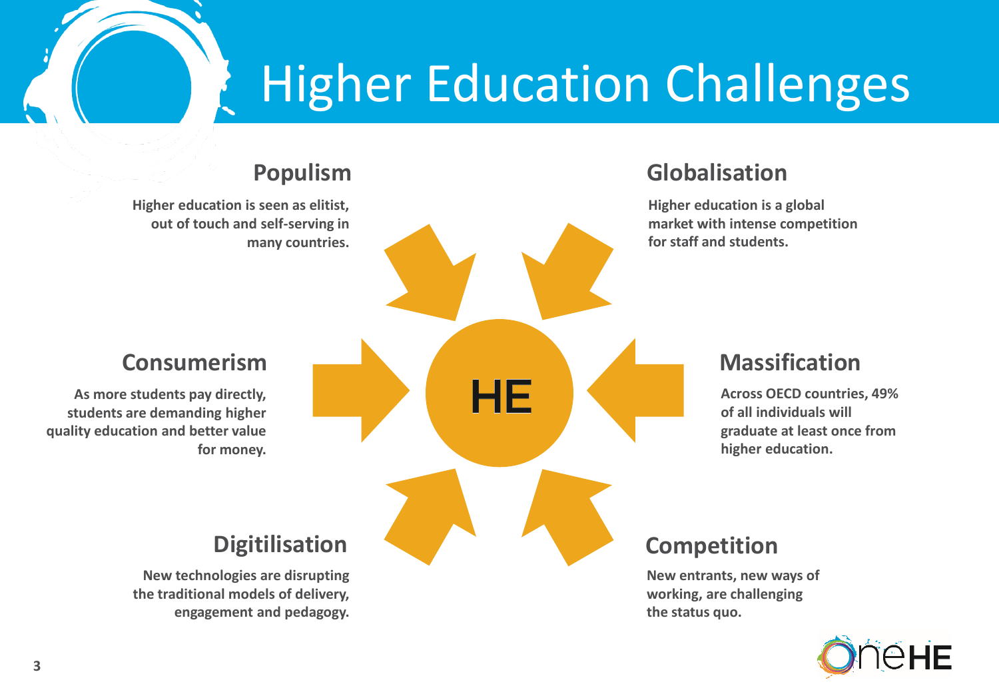# Higher Education Challenges



**engagement and pedagogy.**

#### **Globalisation**

**Higher education is a global market with intense competition for staff and students.**

#### **Massification**

**Across OECD countries, 49% of all individuals will graduate at least once from higher education.**

#### **Competition**

**New entrants, new ways of working, are challenging the status quo.**

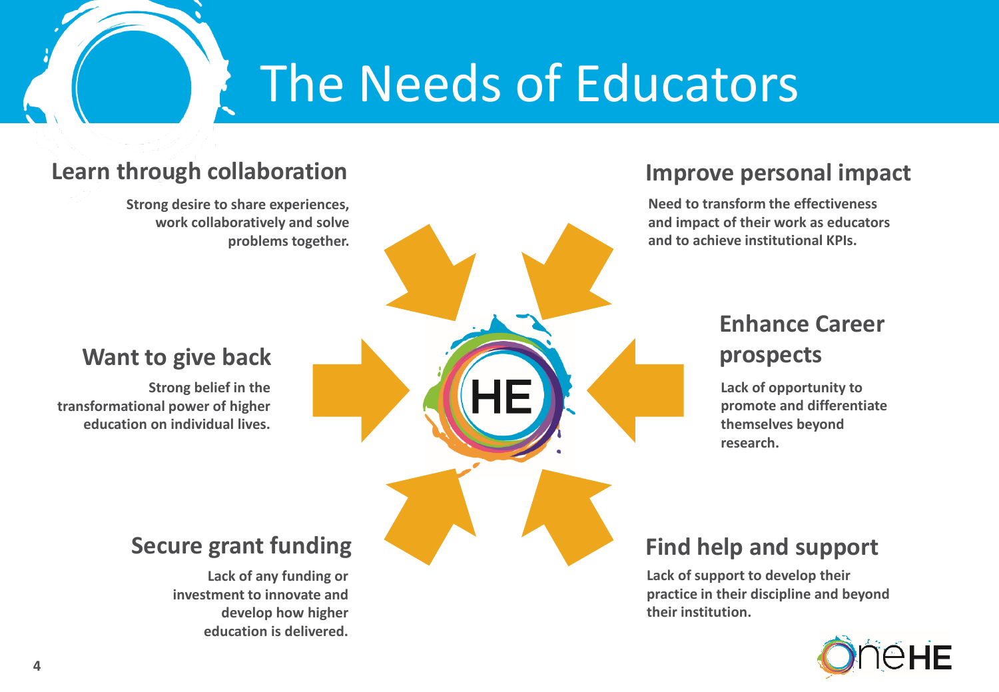## The Needs of Educators

#### **Learn through collaboration**

**Strong desire to share experiences, work collaboratively and solve problems together.**

#### **Want to give back**

**Strong belief in the transformational power of higher education on individual lives.**

#### **Secure grant funding**

**Lack of any funding or investment to innovate and develop how higher education is delivered.**

#### **Improve personal impact**

**Need to transform the effectiveness and impact of their work as educators and to achieve institutional KPIs.**

#### **Enhance Career prospects**

**Lack of opportunity to promote and differentiate themselves beyond research.** 

#### **Find help and support**

**Lack of support to develop their practice in their discipline and beyond their institution.**

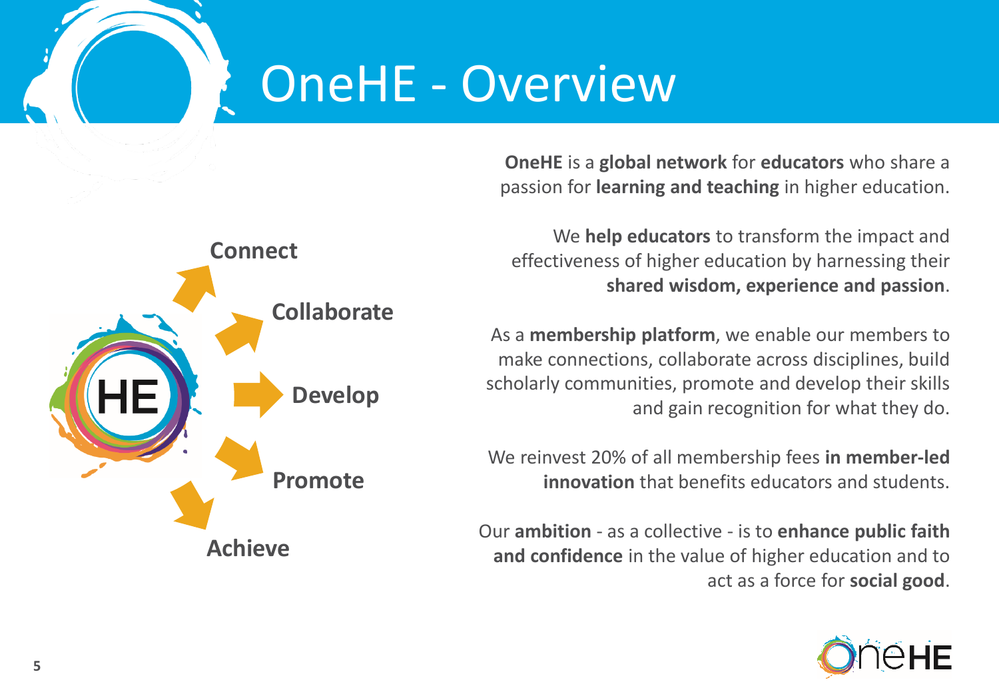## OneHE - Overview

**OneHE** is a **global network** for **educators** who share a passion for **learning and teaching** in higher education.



We **help educators** to transform the impact and effectiveness of higher education by harnessing their **shared wisdom, experience and passion**.

As a **membership platform**, we enable our members to make connections, collaborate across disciplines, build scholarly communities, promote and develop their skills and gain recognition for what they do.

We reinvest 20% of all membership fees **in member-led innovation** that benefits educators and students.

Our **ambition** - as a collective - is to **enhance public faith and confidence** in the value of higher education and to act as a force for **social good**.

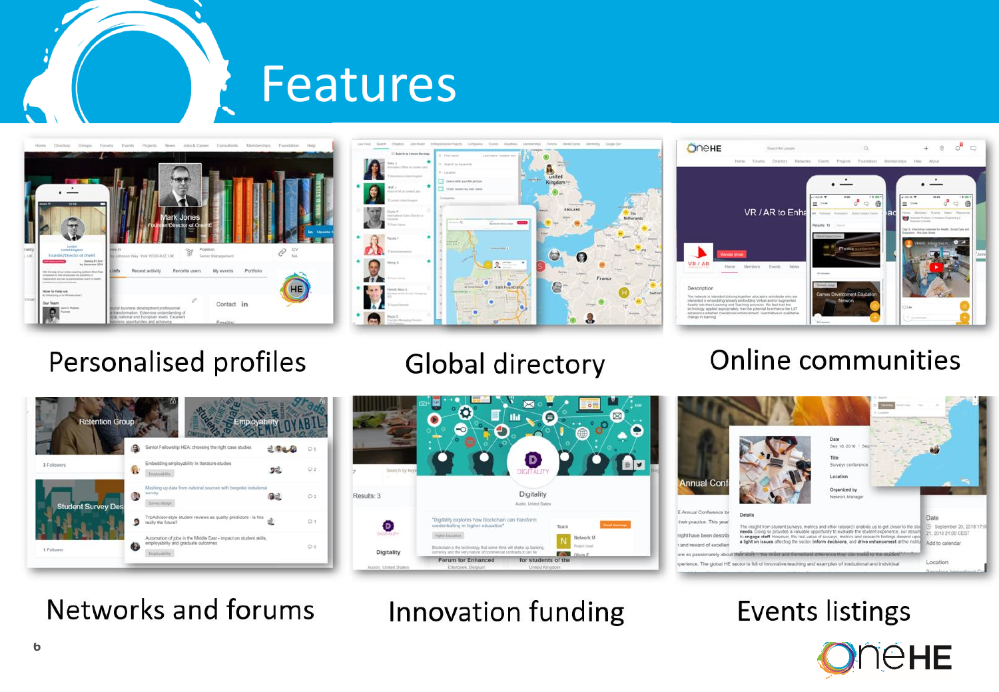







### Personalised profiles

### Global directory

 $\bullet$ 

### **Online communities**



Networks and forums



 $\bullet$ 

Ø



### **Events listings**



Innovation funding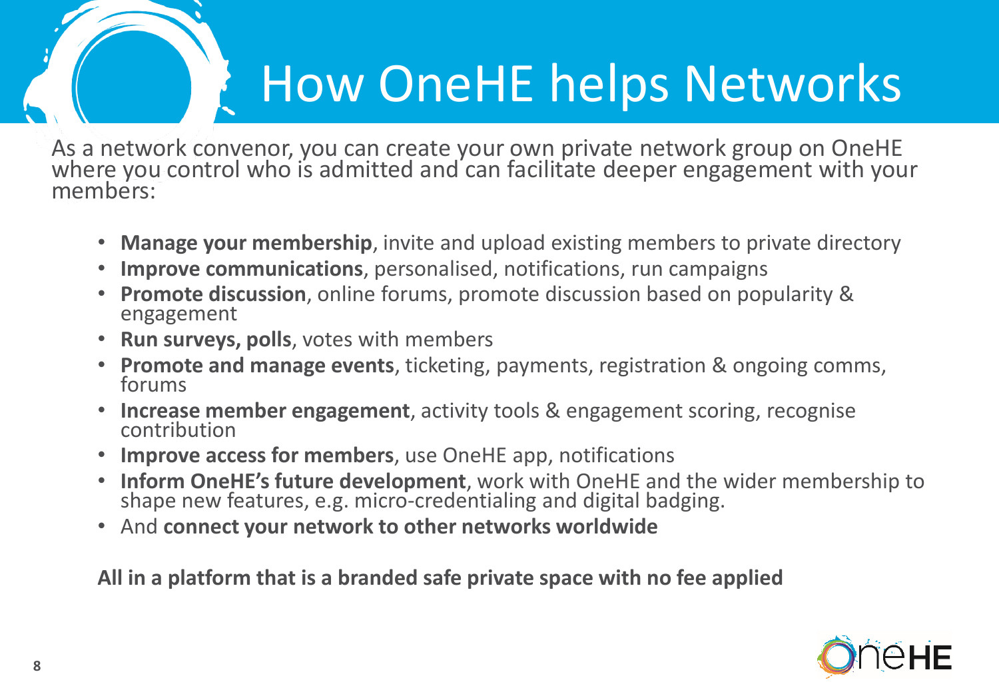# How OneHE helps Networks

As a network convenor, you can create your own private network group on OneHE where you control who is admitted and can facilitate deeper engagement with your members:

- **Manage your membership**, invite and upload existing members to private directory
- **Improve communications**, personalised, notifications, run campaigns
- **Promote discussion**, online forums, promote discussion based on popularity & engagement
- **Run surveys, polls**, votes with members
- **Promote and manage events**, ticketing, payments, registration & ongoing comms, forums
- **Increase member engagement**, activity tools & engagement scoring, recognise contribution
- **Improve access for members**, use OneHE app, notifications
- **Inform OneHE's future development**, work with OneHE and the wider membership to shape new features, e.g. micro-credentialing and digital badging.
- And **connect your network to other networks worldwide**

**All in a platform that is a branded safe private space with no fee applied**

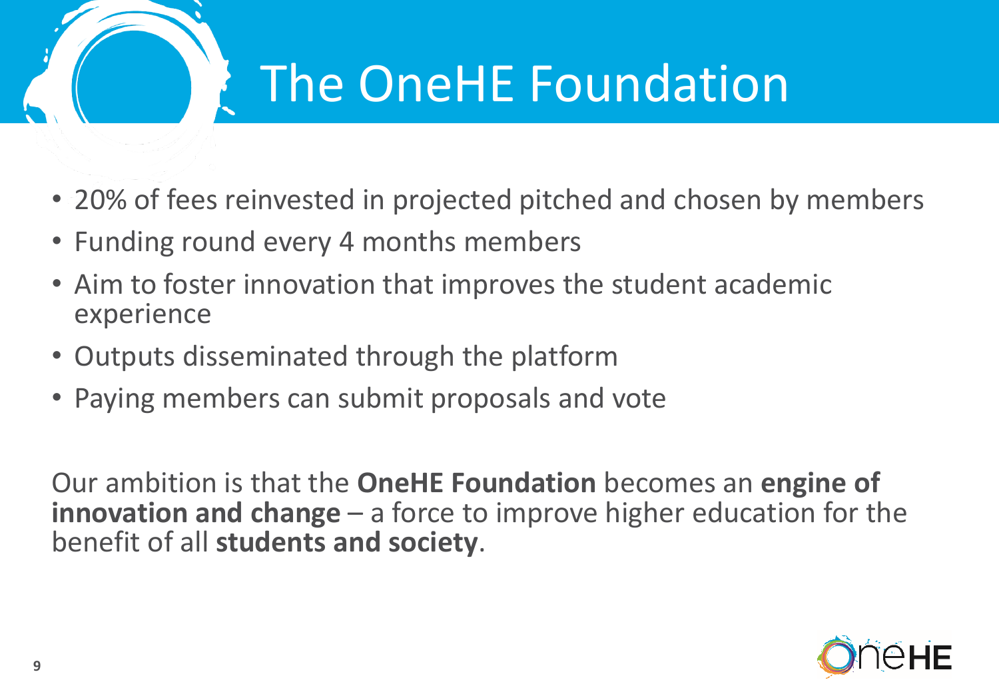

# The OneHE Foundation

- 20% of fees reinvested in projected pitched and chosen by members
- Funding round every 4 months members
- Aim to foster innovation that improves the student academic experience
- Outputs disseminated through the platform
- Paying members can submit proposals and vote

Our ambition is that the **OneHE Foundation** becomes an **engine of innovation and change** – a force to improve higher education for the benefit of all **students and society**.

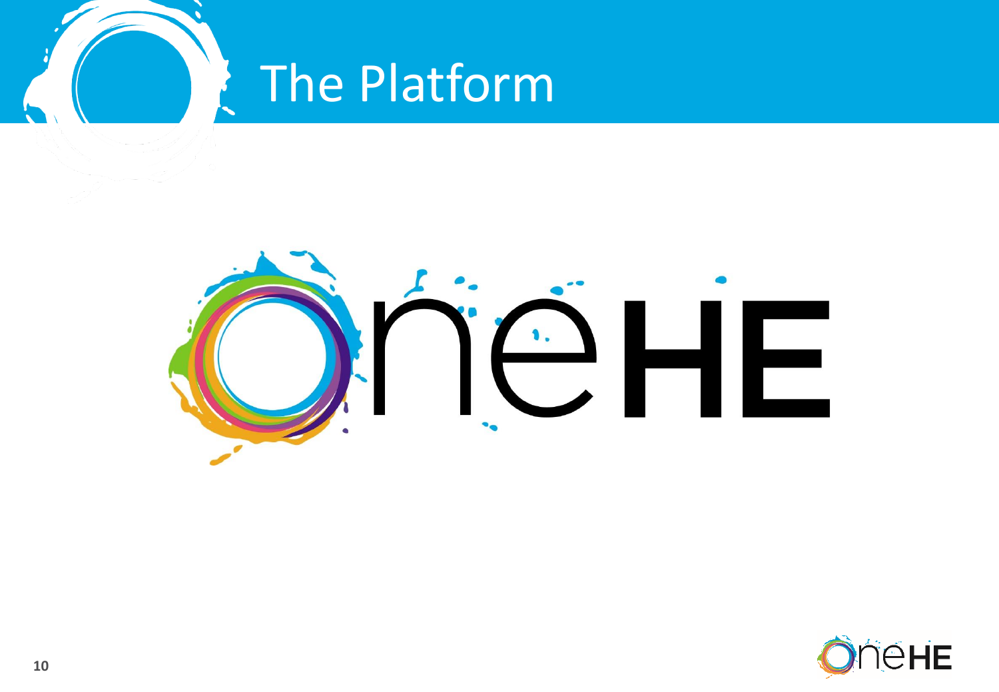

## The Platform